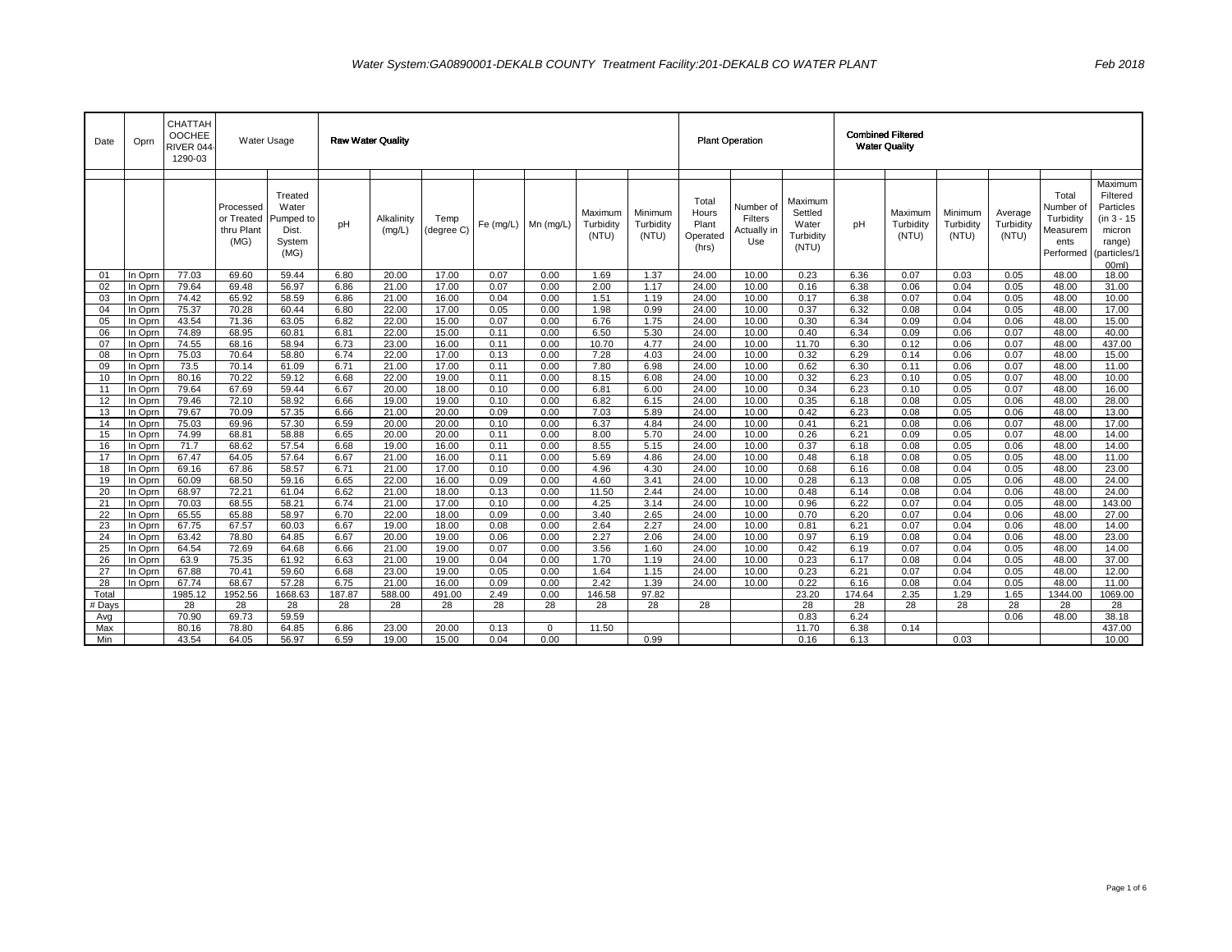| Date     | Oprn               | CHATTAH<br>OOCHEE<br>RIVER 044<br>1290-03 |                                               | Water Usage                                              |              | <b>Raw Water Quality</b> |                    |              |              |                               |                               | <b>Plant Operation</b>                       |                                            |                                                   | <b>Combined Filtered</b><br><b>Water Quality</b> |                               |                               |                               |                                                                  |                                                                                               |
|----------|--------------------|-------------------------------------------|-----------------------------------------------|----------------------------------------------------------|--------------|--------------------------|--------------------|--------------|--------------|-------------------------------|-------------------------------|----------------------------------------------|--------------------------------------------|---------------------------------------------------|--------------------------------------------------|-------------------------------|-------------------------------|-------------------------------|------------------------------------------------------------------|-----------------------------------------------------------------------------------------------|
|          |                    |                                           | Processed<br>or Treated<br>thru Plant<br>(MG) | Treated<br>Water<br>Pumped to<br>Dist.<br>System<br>(MG) | pH           | Alkalinity<br>(mq/L)     | Temp<br>(degree C) | Fe (mq/L)    | $Mn$ (mg/L)  | Maximum<br>Turbidity<br>(NTU) | Minimum<br>Turbidity<br>(NTU) | Total<br>Hours<br>Plant<br>Operated<br>(hrs) | Number of<br>Filters<br>Actually in<br>Use | Maximum<br>Settled<br>Water<br>Turbidity<br>(NTU) | pH                                               | Maximum<br>Turbidity<br>(NTU) | Minimum<br>Turbidity<br>(NTU) | Average<br>Turbidity<br>(NTU) | Total<br>Number of<br>Turbidity<br>Measurem<br>ents<br>Performed | Maximum<br>Filtered<br>Particles<br>$(in 3 - 15)$<br>micron<br>range)<br>particles/1<br>00ml) |
| 01       | In Oprn            | 77.03                                     | 69.60                                         | 59.44                                                    | 6.80         | 20.00                    | 17.00              | 0.07         | 0.00         | 1.69                          | 1.37                          | 24.00                                        | 10.00                                      | 0.23                                              | 6.36                                             | 0.07                          | 0.03                          | 0.05                          | 48.00                                                            | 18.00                                                                                         |
| 02       | In Oprn            | 79.64                                     | 69.48                                         | 56.97                                                    | 6.86         | 21.00                    | 17.00              | 0.07         | 0.00         | 2.00                          | 1.17                          | 24.00                                        | 10.00                                      | 0.16                                              | 6.38                                             | 0.06                          | 0.04                          | 0.05                          | 48.00                                                            | 31.00                                                                                         |
| 03       | In Oprn            | 74.42                                     | 65.92                                         | 58.59                                                    | 6.86         | 21.00                    | 16.00              | 0.04         | 0.00         | 1.51                          | 1.19                          | 24.00                                        | 10.00                                      | 0.17                                              | 6.38                                             | 0.07                          | 0.04                          | 0.05                          | 48.00                                                            | 10.00                                                                                         |
| 04       | In Oprn            | 75.37                                     | 70.28                                         | 60.44                                                    | 6.80         | 22.00                    | 17.00              | 0.05         | 0.00         | 1.98                          | 0.99                          | 24.00                                        | 10.00                                      | 0.37                                              | 6.32                                             | 0.08                          | 0.04                          | 0.05                          | 48.00                                                            | 17.00                                                                                         |
| 05       | In Oprn            | 43.54                                     | 71.36                                         | 63.05                                                    | 6.82         | 22.00                    | 15.00              | 0.07         | 0.00         | 6.76                          | 1.75                          | 24.00                                        | 10.00                                      | 0.30                                              | 6.34                                             | 0.09                          | 0.04                          | 0.06                          | 48.00                                                            | 15.00                                                                                         |
| 06       | In Oprn            | 74.89                                     | 68.95                                         | 60.81                                                    | 6.81         | 22.00                    | 15.00              | 0.11         | 0.00         | 6.50                          | 5.30                          | 24.00                                        | 10.00                                      | 0.40                                              | 6.34                                             | 0.09                          | 0.06                          | 0.07                          | 48.00                                                            | 40.00                                                                                         |
| 07       | In Oprn            | 74.55                                     | 68.16                                         | 58.94                                                    | 6.73         | 23.00                    | 16.00              | 0.11         | 0.00         | 10.70                         | 4.77                          | 24.00                                        | 10.00                                      | 11.70                                             | 6.30                                             | 0.12                          | 0.06                          | 0.07                          | 48.00                                                            | 437.00                                                                                        |
| 08       | In Oprn            | 75.03                                     | 70.64                                         | 58.80                                                    | 6.74         | 22.00                    | 17.00              | 0.13         | 0.00         | 7.28                          | 4.03                          | 24.00                                        | 10.00                                      | 0.32                                              | 6.29                                             | 0.14                          | 0.06                          | 0.07                          | 48.00                                                            | 15.00                                                                                         |
| 09       | In Oprn            | 73.5<br>80.16                             | 70.14<br>70.22                                | 61.09<br>59.12                                           | 6.71<br>6.68 | 21.00<br>22.00           | 17.00<br>19.00     | 0.11<br>0.11 | 0.00<br>0.00 | 7.80<br>8.15                  | 6.98<br>6.08                  | 24.00<br>24.00                               | 10.00<br>10.00                             | 0.62<br>0.32                                      | 6.30<br>6.23                                     | 0.11<br>0.10                  | 0.06<br>0.05                  | 0.07<br>0.07                  | 48.00<br>48.00                                                   | 11.00<br>10.00                                                                                |
| 10<br>11 | In Oprn<br>In Oprn | 79.64                                     | 67.69                                         | 59.44                                                    | 6.67         | 20.00                    | 18.00              | 0.10         | 0.00         | 6.81                          | 6.00                          | 24.00                                        | 10.00                                      | 0.34                                              | 6.23                                             | 0.10                          | 0.05                          | 0.07                          | 48.00                                                            | 16.00                                                                                         |
| 12       | In Oprn            | 79.46                                     | 72.10                                         | 58.92                                                    | 6.66         | 19.00                    | 19.00              | 0.10         | 0.00         | 6.82                          | 6.15                          | 24.00                                        | 10.00                                      | 0.35                                              | 6.18                                             | 0.08                          | 0.05                          | 0.06                          | 48.00                                                            | 28.00                                                                                         |
| 13       | In Oprn            | 79.67                                     | 70.09                                         | 57.35                                                    | 6.66         | 21.00                    | 20.00              | 0.09         | 0.00         | 7.03                          | 5.89                          | 24.00                                        | 10.00                                      | 0.42                                              | 6.23                                             | 0.08                          | 0.05                          | 0.06                          | 48.00                                                            | 13.00                                                                                         |
| 14       | In Oprn            | 75.03                                     | 69.96                                         | 57.30                                                    | 6.59         | 20.00                    | 20.00              | 0.10         | 0.00         | 6.37                          | 4.84                          | 24.00                                        | 10.00                                      | 0.41                                              | 6.21                                             | 0.08                          | 0.06                          | 0.07                          | 48.00                                                            | 17.00                                                                                         |
| 15       | In Oprn            | 74.99                                     | 68.81                                         | 58.88                                                    | 6.65         | 20.00                    | 20.00              | 0.11         | 0.00         | 8.00                          | 5.70                          | 24.00                                        | 10.00                                      | 0.26                                              | 6.21                                             | 0.09                          | 0.05                          | 0.07                          | 48.00                                                            | 14.00                                                                                         |
| 16       | In Oprn            | 71.7                                      | 68.62                                         | 57.54                                                    | 6.68         | 19.00                    | 16.00              | 0.11         | 0.00         | 8.55                          | 5.15                          | 24.00                                        | 10.00                                      | 0.37                                              | 6.18                                             | 0.08                          | 0.05                          | 0.06                          | 48.00                                                            | 14.00                                                                                         |
| 17       | In Oprn            | 67.47                                     | 64.05                                         | 57.64                                                    | 6.67         | 21.00                    | 16.00              | 0.11         | 0.00         | 5.69                          | 4.86                          | 24.00                                        | 10.00                                      | 0.48                                              | 6.18                                             | 0.08                          | 0.05                          | 0.05                          | 48.00                                                            | 11.00                                                                                         |
| 18       | In Oprn            | 69.16                                     | 67.86                                         | 58.57                                                    | 6.71         | 21.00                    | 17.00              | 0.10         | 0.00         | 4.96                          | 4.30                          | 24.00                                        | 10.00                                      | 0.68                                              | 6.16                                             | 0.08                          | 0.04                          | 0.05                          | 48.00                                                            | 23.00                                                                                         |
| 19       | In Oprn            | 60.09                                     | 68.50                                         | 59.16                                                    | 6.65         | 22.00                    | 16.00              | 0.09         | 0.00         | 4.60                          | 3.41                          | 24.00                                        | 10.00                                      | 0.28                                              | 6.13                                             | 0.08                          | 0.05                          | 0.06                          | 48.00                                                            | 24.00                                                                                         |
| 20       | In Oprn            | 68.97                                     | 72.21                                         | 61.04                                                    | 6.62         | 21.00                    | 18.00              | 0.13         | 0.00         | 11.50                         | 2.44                          | 24.00                                        | 10.00                                      | 0.48                                              | 6.14                                             | 0.08                          | 0.04                          | 0.06                          | 48.00                                                            | 24.00                                                                                         |
| 21       | In Oprn            | 70.03                                     | 68.55                                         | 58.21                                                    | 6.74         | 21.00                    | 17.00              | 0.10         | 0.00         | 4.25                          | 3.14                          | 24.00                                        | 10.00                                      | 0.96                                              | 6.22                                             | 0.07                          | 0.04                          | 0.05                          | 48.00                                                            | 143.00                                                                                        |
| 22       | In Oprn            | 65.55                                     | 65.88                                         | 58.97                                                    | 6.70         | 22.00                    | 18.00              | 0.09         | 0.00         | 3.40                          | 2.65                          | 24.00                                        | 10.00                                      | 0.70                                              | 6.20                                             | 0.07                          | 0.04                          | 0.06                          | 48.00                                                            | 27.00                                                                                         |
| 23       | In Oprn            | 67.75                                     | 67.57                                         | 60.03                                                    | 6.67         | 19.00                    | 18.00              | 0.08         | 0.00         | 2.64                          | 2.27                          | 24.00                                        | 10.00                                      | 0.81                                              | 6.21                                             | 0.07                          | 0.04                          | 0.06                          | 48.00                                                            | 14.00                                                                                         |
| 24       | In Oprn            | 63.42                                     | 78.80                                         | 64.85                                                    | 6.67         | 20.00                    | 19.00              | 0.06         | 0.00         | 2.27                          | 2.06                          | 24.00                                        | 10.00                                      | 0.97                                              | 6.19                                             | 0.08                          | 0.04                          | 0.06                          | 48.00                                                            | 23.00                                                                                         |
| 25<br>26 | In Oprn<br>In Oprn | 64.54<br>63.9                             | 72.69<br>75.35                                | 64.68<br>61.92                                           | 6.66<br>6.63 | 21.00<br>21.00           | 19.00<br>19.00     | 0.07<br>0.04 | 0.00<br>0.00 | 3.56<br>1.70                  | 1.60<br>1.19                  | 24.00<br>24.00                               | 10.00<br>10.00                             | 0.42<br>0.23                                      | 6.19<br>6.17                                     | 0.07<br>0.08                  | 0.04<br>0.04                  | 0.05<br>0.05                  | 48.00<br>48.00                                                   | 14.00<br>37.00                                                                                |
| 27       | In Oprn            | 67.88                                     | 70.41                                         | 59.60                                                    | 6.68         | 23.00                    | 19.00              | 0.05         | 0.00         | 1.64                          | 1.15                          | 24.00                                        | 10.00                                      | 0.23                                              | 6.21                                             | 0.07                          | 0.04                          | 0.05                          | 48.00                                                            | 12.00                                                                                         |
| 28       | In Oprn            | 67.74                                     | 68.67                                         | 57.28                                                    | 6.75         | 21.00                    | 16.00              | 0.09         | 0.00         | 2.42                          | 1.39                          | 24.00                                        | 10.00                                      | 0.22                                              | 6.16                                             | 0.08                          | 0.04                          | 0.05                          | 48.00                                                            | 11.00                                                                                         |
| Total    |                    | 1985.12                                   | 1952.56                                       | 1668.63                                                  | 187.87       | 588.00                   | 491.00             | 2.49         | 0.00         | 146.58                        | 97.82                         |                                              |                                            | 23.20                                             | 174.64                                           | 2.35                          | 1.29                          | 1.65                          | 1344.00                                                          | 1069.00                                                                                       |
| # Days   |                    | 28                                        | 28                                            | 28                                                       | 28           | 28                       | 28                 | 28           | 28           | 28                            | 28                            | 28                                           |                                            | 28                                                | 28                                               | 28                            | 28                            | 28                            | 28                                                               | 28                                                                                            |
| Avg      |                    | 70.90                                     | 69.73                                         | 59.59                                                    |              |                          |                    |              |              |                               |                               |                                              |                                            | 0.83                                              | 6.24                                             |                               |                               | 0.06                          | 48.00                                                            | 38.18                                                                                         |
| Max      |                    | 80.16                                     | 78.80                                         | 64.85                                                    | 6.86         | 23.00                    | 20.00              | 0.13         | $\Omega$     | 11.50                         |                               |                                              |                                            | 11.70                                             | 6.38                                             | 0.14                          |                               |                               |                                                                  | 437.00                                                                                        |
| Min      |                    | 43.54                                     | 64.05                                         | 56.97                                                    | 6.59         | 19.00                    | 15.00              | 0.04         | 0.00         |                               | 0.99                          |                                              |                                            | 0.16                                              | 6.13                                             |                               | 0.03                          |                               |                                                                  | 10.00                                                                                         |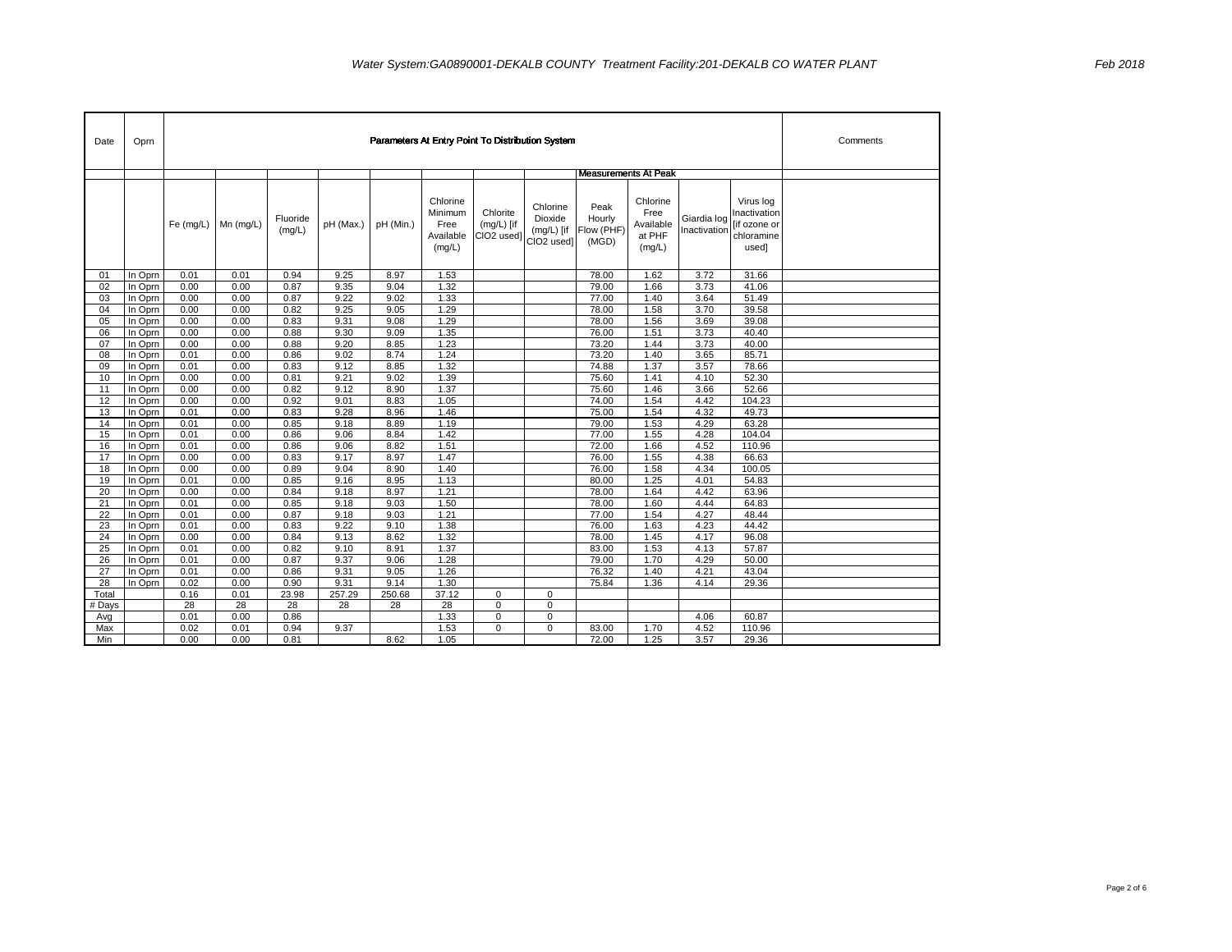| Date            | Oprn               |              |                           |                    | Comments       |                |                                                    |                                        |                                                   |                                       |                                                   |                             |                                                                  |  |
|-----------------|--------------------|--------------|---------------------------|--------------------|----------------|----------------|----------------------------------------------------|----------------------------------------|---------------------------------------------------|---------------------------------------|---------------------------------------------------|-----------------------------|------------------------------------------------------------------|--|
|                 |                    |              |                           |                    |                |                |                                                    |                                        |                                                   | <b>Measurements At Peak</b>           |                                                   |                             |                                                                  |  |
|                 |                    |              | Fe $(mg/L)$   Mn $(mg/L)$ | Fluoride<br>(mg/L) | pH (Max.)      | pH (Min.)      | Chlorine<br>Minimum<br>Free<br>Available<br>(mg/L) | Chlorite<br>$(mg/L)$ [if<br>CIO2 used] | Chlorine<br>Dioxide<br>$(mg/L)$ [if<br>CIO2 used] | Peak<br>Hourly<br>Flow (PHF)<br>(MGD) | Chlorine<br>Free<br>Available<br>at PHF<br>(mg/L) | Giardia log<br>Inactivation | Virus log<br>Inactivation<br>[if ozone or<br>chloramine<br>used] |  |
| 01              | In Oprn            | 0.01         | 0.01                      | 0.94               | 9.25           | 8.97           | 1.53                                               |                                        |                                                   | 78.00                                 | 1.62                                              | 3.72                        | 31.66                                                            |  |
| 02              | In Oprn            | 0.00         | 0.00                      | 0.87               | 9.35           | 9.04           | 1.32                                               |                                        |                                                   | 79.00                                 | 1.66                                              | 3.73                        | 41.06                                                            |  |
| 03              | In Oprn            | 0.00         | 0.00                      | 0.87               | 9.22           | 9.02           | 1.33                                               |                                        |                                                   | 77.00                                 | 1.40                                              | 3.64                        | 51.49                                                            |  |
| 04              | In Oprn            | 0.00         | 0.00                      | 0.82               | 9.25           | 9.05           | 1.29                                               |                                        |                                                   | 78.00                                 | 1.58                                              | 3.70                        | 39.58                                                            |  |
| 05              | In Oprn            | 0.00         | 0.00                      | 0.83               | 9.31           | 9.08           | 1.29                                               |                                        |                                                   | 78.00                                 | 1.56                                              | 3.69                        | 39.08                                                            |  |
| 06              | In Oprn            | 0.00         | 0.00                      | 0.88               | 9.30           | 9.09           | 1.35                                               |                                        |                                                   | 76.00                                 | 1.51                                              | 3.73                        | 40.40                                                            |  |
| 07              | In Oprn            | 0.00         | 0.00                      | 0.88               | 9.20           | 8.85           | 1.23                                               |                                        |                                                   | 73.20                                 | 1.44                                              | 3.73                        | 40.00                                                            |  |
| 08              | In Oprn            | 0.01         | 0.00                      | 0.86               | 9.02           | 8.74           | 1.24                                               |                                        |                                                   | 73.20                                 | 1.40                                              | 3.65                        | 85.71                                                            |  |
| 09<br>10        | In Oprn<br>In Oprn | 0.01<br>0.00 | 0.00<br>0.00              | 0.83<br>0.81       | 9.12<br>9.21   | 8.85<br>9.02   | 1.32<br>1.39                                       |                                        |                                                   | 74.88<br>75.60                        | 1.37<br>1.41                                      | 3.57<br>4.10                | 78.66<br>52.30                                                   |  |
| 11              | In Oprn            | 0.00         | 0.00                      | 0.82               | 9.12           | 8.90           | 1.37                                               |                                        |                                                   | 75.60                                 | 1.46                                              | 3.66                        | 52.66                                                            |  |
| 12              | In Oprn            | 0.00         | 0.00                      | 0.92               | 9.01           | 8.83           | 1.05                                               |                                        |                                                   | 74.00                                 | 1.54                                              | 4.42                        | 104.23                                                           |  |
| 13              | In Oprn            | 0.01         | 0.00                      | 0.83               | 9.28           | 8.96           | 1.46                                               |                                        |                                                   | 75.00                                 | 1.54                                              | 4.32                        | 49.73                                                            |  |
| 14              | In Oprn            | 0.01         | 0.00                      | 0.85               | 9.18           | 8.89           | 1.19                                               |                                        |                                                   | 79.00                                 | 1.53                                              | 4.29                        | 63.28                                                            |  |
| 15              | In Oprn            | 0.01         | 0.00                      | 0.86               | 9.06           | 8.84           | 1.42                                               |                                        |                                                   | 77.00                                 | 1.55                                              | 4.28                        | 104.04                                                           |  |
| 16              | In Oprn            | 0.01         | 0.00                      | 0.86               | 9.06           | 8.82           | 1.51                                               |                                        |                                                   | 72.00                                 | 1.66                                              | 4.52                        | 110.96                                                           |  |
| 17              | In Oprn            | 0.00         | 0.00                      | 0.83               | 9.17           | 8.97           | 1.47                                               |                                        |                                                   | 76.00                                 | 1.55                                              | 4.38                        | 66.63                                                            |  |
| 18              | In Oprn            | 0.00         | 0.00                      | 0.89               | 9.04           | 8.90           | 1.40                                               |                                        |                                                   | 76.00                                 | 1.58                                              | 4.34                        | 100.05                                                           |  |
| 19              | In Oprn            | 0.01         | 0.00                      | 0.85               | 9.16           | 8.95           | 1.13                                               |                                        |                                                   | 80.00                                 | 1.25                                              | 4.01                        | 54.83                                                            |  |
| 20              | In Oprn            | 0.00         | 0.00                      | 0.84               | 9.18           | 8.97           | 1.21                                               |                                        |                                                   | 78.00                                 | 1.64                                              | 4.42                        | 63.96                                                            |  |
| 21              | In Oprn            | 0.01         | 0.00                      | 0.85               | 9.18           | 9.03           | 1.50                                               |                                        |                                                   | 78.00                                 | 1.60                                              | 4.44                        | 64.83                                                            |  |
| 22              | In Oprn            | 0.01         | 0.00                      | 0.87               | 9.18           | 9.03           | 1.21                                               |                                        |                                                   | 77.00                                 | 1.54                                              | 4.27                        | 48.44                                                            |  |
| 23              | In Oprn            | 0.01         | 0.00                      | 0.83               | 9.22           | 9.10           | 1.38                                               |                                        |                                                   | 76.00                                 | 1.63                                              | 4.23                        | 44.42                                                            |  |
| 24              | In Oprn            | 0.00         | 0.00                      | 0.84               | 9.13           | 8.62           | 1.32                                               |                                        |                                                   | 78.00                                 | 1.45                                              | 4.17                        | 96.08                                                            |  |
| $\overline{25}$ | In Oprn            | 0.01         | 0.00                      | 0.82               | 9.10           | 8.91           | 1.37                                               |                                        |                                                   | 83.00                                 | 1.53                                              | 4.13                        | 57.87                                                            |  |
| 26              | In Oprn            | 0.01         | 0.00                      | 0.87               | 9.37           | 9.06           | 1.28                                               |                                        |                                                   | 79.00                                 | 1.70                                              | 4.29                        | 50.00                                                            |  |
| 27              | In Oprn            | 0.01         | 0.00                      | 0.86               | 9.31           | 9.05           | 1.26                                               |                                        |                                                   | 76.32                                 | 1.40                                              | 4.21                        | 43.04                                                            |  |
| 28<br>Total     | In Oprn            | 0.02<br>0.16 | 0.00<br>0.01              | 0.90<br>23.98      | 9.31<br>257.29 | 9.14<br>250.68 | 1.30<br>37.12                                      | 0                                      | $\mathbf 0$                                       | 75.84                                 | 1.36                                              | 4.14                        | 29.36                                                            |  |
| # Days          |                    | 28           | 28                        | 28                 | 28             | 28             | 28                                                 | 0                                      | $\mathbf 0$                                       |                                       |                                                   |                             |                                                                  |  |
| Avg             |                    | 0.01         | 0.00                      | 0.86               |                |                | 1.33                                               | 0                                      | $\mathbf 0$                                       |                                       |                                                   | 4.06                        | 60.87                                                            |  |
| Max             |                    | 0.02         | 0.01                      | 0.94               | 9.37           |                | 1.53                                               | $\mathbf 0$                            | $\Omega$                                          | 83.00                                 | 1.70                                              | 4.52                        | 110.96                                                           |  |
| Min             |                    | 0.00         | 0.00                      | 0.81               |                | 8.62           | 1.05                                               |                                        |                                                   | 72.00                                 | 1.25                                              | 3.57                        | 29.36                                                            |  |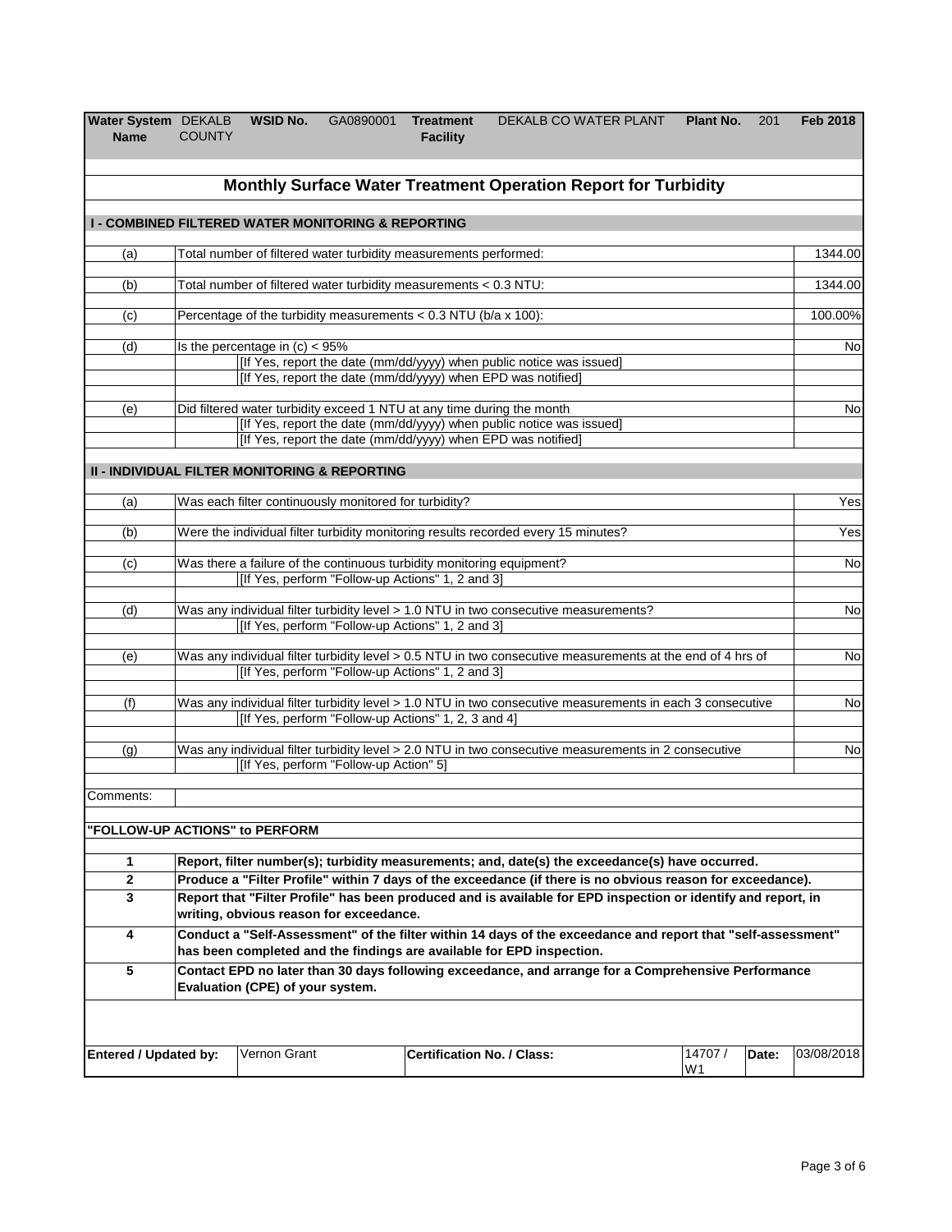| Water System DEKALB<br><b>Name</b>                            | <b>COUNTY</b>                                                                                                                                                                                                  | <b>WSID No.</b> | GA0890001 Treatment                                              | <b>Facility</b> | DEKALB CO WATER PLANT                                                                                                                                                                 | Plant No. | 201 | <b>Feb 2018</b> |  |  |  |
|---------------------------------------------------------------|----------------------------------------------------------------------------------------------------------------------------------------------------------------------------------------------------------------|-----------------|------------------------------------------------------------------|-----------------|---------------------------------------------------------------------------------------------------------------------------------------------------------------------------------------|-----------|-----|-----------------|--|--|--|
|                                                               |                                                                                                                                                                                                                |                 |                                                                  |                 | Monthly Surface Water Treatment Operation Report for Turbidity                                                                                                                        |           |     |                 |  |  |  |
| <b>I - COMBINED FILTERED WATER MONITORING &amp; REPORTING</b> |                                                                                                                                                                                                                |                 |                                                                  |                 |                                                                                                                                                                                       |           |     |                 |  |  |  |
| (a)                                                           |                                                                                                                                                                                                                |                 | Total number of filtered water turbidity measurements performed: |                 |                                                                                                                                                                                       |           |     | 1344.00         |  |  |  |
| (b)                                                           |                                                                                                                                                                                                                |                 | Total number of filtered water turbidity measurements < 0.3 NTU: |                 |                                                                                                                                                                                       |           |     | 1344.00         |  |  |  |
| (c)                                                           | Percentage of the turbidity measurements $< 0.3$ NTU (b/a x 100):<br>100.00%                                                                                                                                   |                 |                                                                  |                 |                                                                                                                                                                                       |           |     |                 |  |  |  |
| (d)                                                           | Is the percentage in $(c) < 95\%$<br>[If Yes, report the date (mm/dd/yyyy) when public notice was issued]<br>[If Yes, report the date (mm/dd/yyyy) when EPD was notified]                                      |                 |                                                                  |                 |                                                                                                                                                                                       |           |     |                 |  |  |  |
| (e)                                                           | Did filtered water turbidity exceed 1 NTU at any time during the month<br>[If Yes, report the date (mm/dd/yyyy) when public notice was issued]<br>[If Yes, report the date (mm/dd/yyyy) when EPD was notified] |                 |                                                                  |                 |                                                                                                                                                                                       |           |     |                 |  |  |  |
| <b>II - INDIVIDUAL FILTER MONITORING &amp; REPORTING</b>      |                                                                                                                                                                                                                |                 |                                                                  |                 |                                                                                                                                                                                       |           |     |                 |  |  |  |
| (a)                                                           |                                                                                                                                                                                                                |                 | Was each filter continuously monitored for turbidity?            |                 |                                                                                                                                                                                       |           |     | Yes             |  |  |  |
| (b)                                                           | Were the individual filter turbidity monitoring results recorded every 15 minutes?                                                                                                                             |                 |                                                                  |                 |                                                                                                                                                                                       |           |     |                 |  |  |  |
| (c)                                                           | Was there a failure of the continuous turbidity monitoring equipment?<br>[If Yes, perform "Follow-up Actions" 1, 2 and 3]                                                                                      |                 |                                                                  |                 |                                                                                                                                                                                       |           |     |                 |  |  |  |
| (d)                                                           | Was any individual filter turbidity level > 1.0 NTU in two consecutive measurements?<br>[If Yes, perform "Follow-up Actions" 1, 2 and 3]                                                                       |                 |                                                                  |                 |                                                                                                                                                                                       |           |     |                 |  |  |  |
| (e)                                                           |                                                                                                                                                                                                                |                 | [If Yes, perform "Follow-up Actions" 1, 2 and 3]                 |                 | Was any individual filter turbidity level > 0.5 NTU in two consecutive measurements at the end of 4 hrs of                                                                            |           |     | No              |  |  |  |
| (f)                                                           |                                                                                                                                                                                                                |                 | [If Yes, perform "Follow-up Actions" 1, 2, 3 and 4]              |                 | Was any individual filter turbidity level > 1.0 NTU in two consecutive measurements in each 3 consecutive                                                                             |           |     | No              |  |  |  |
| (g)                                                           |                                                                                                                                                                                                                |                 | [If Yes, perform "Follow-up Action" 5]                           |                 | Was any individual filter turbidity level > 2.0 NTU in two consecutive measurements in 2 consecutive                                                                                  |           |     | No              |  |  |  |
| Comments:                                                     |                                                                                                                                                                                                                |                 |                                                                  |                 |                                                                                                                                                                                       |           |     |                 |  |  |  |
| "FOLLOW-UP ACTIONS" to PERFORM                                |                                                                                                                                                                                                                |                 |                                                                  |                 |                                                                                                                                                                                       |           |     |                 |  |  |  |
| 1                                                             |                                                                                                                                                                                                                |                 |                                                                  |                 | Report, filter number(s); turbidity measurements; and, date(s) the exceedance(s) have occurred.                                                                                       |           |     |                 |  |  |  |
| $\bf 2$                                                       |                                                                                                                                                                                                                |                 |                                                                  |                 | Produce a "Filter Profile" within 7 days of the exceedance (if there is no obvious reason for exceedance).                                                                            |           |     |                 |  |  |  |
| $\mathbf 3$                                                   |                                                                                                                                                                                                                |                 | writing, obvious reason for exceedance.                          |                 | Report that "Filter Profile" has been produced and is available for EPD inspection or identify and report, in                                                                         |           |     |                 |  |  |  |
| 4                                                             |                                                                                                                                                                                                                |                 |                                                                  |                 | Conduct a "Self-Assessment" of the filter within 14 days of the exceedance and report that "self-assessment"<br>has been completed and the findings are available for EPD inspection. |           |     |                 |  |  |  |
| 5                                                             | Contact EPD no later than 30 days following exceedance, and arrange for a Comprehensive Performance<br>Evaluation (CPE) of your system.                                                                        |                 |                                                                  |                 |                                                                                                                                                                                       |           |     |                 |  |  |  |
|                                                               | Vernon Grant<br><b>Certification No. / Class:</b><br>14707 /<br>03/08/2018<br><b>Entered / Updated by:</b><br>Date:<br>W1                                                                                      |                 |                                                                  |                 |                                                                                                                                                                                       |           |     |                 |  |  |  |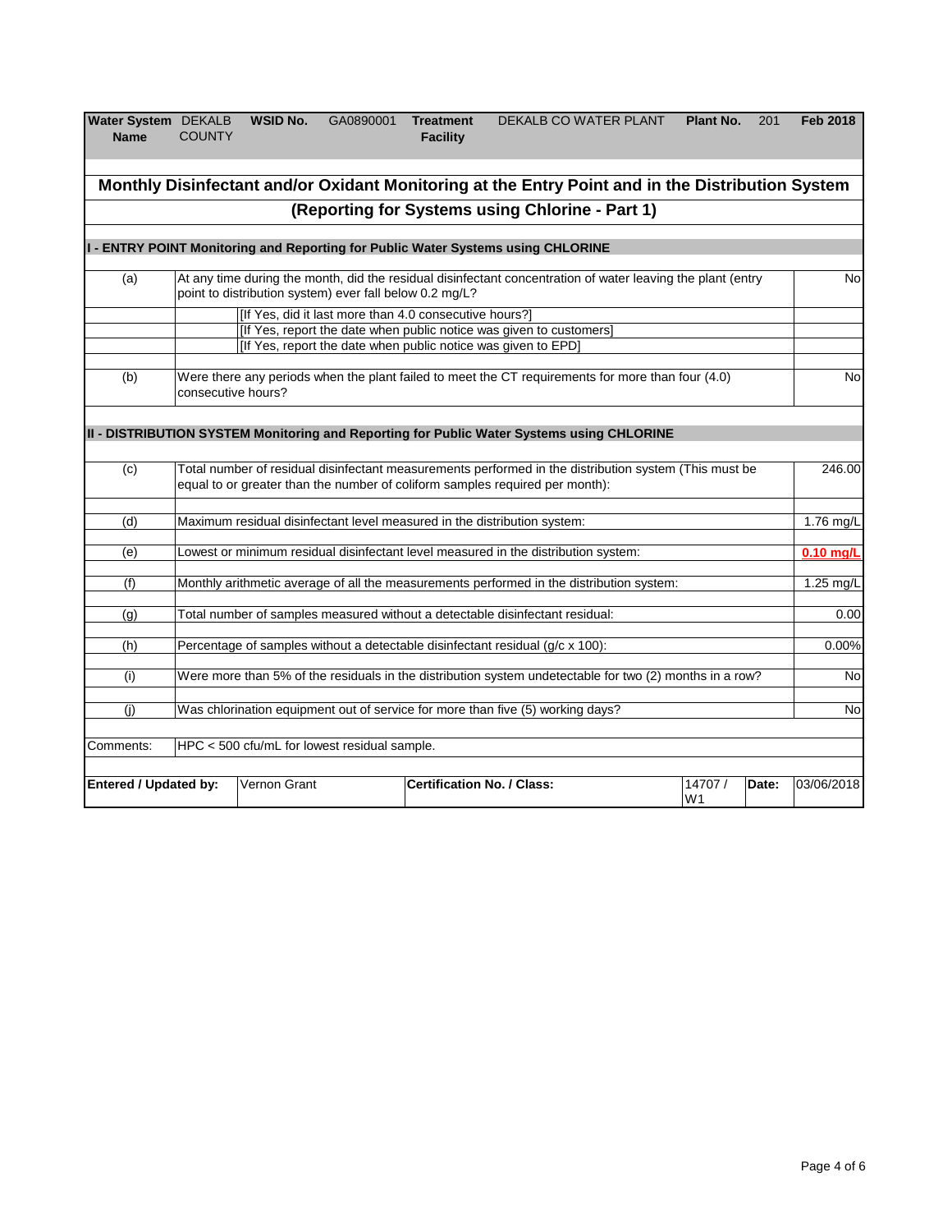| Water System DEKALB WSID No. |               | GA0890001 | <b>Treatment</b> | DEKALB CO WATER PLANT | Plant No. | 201 | Feb 2018 |
|------------------------------|---------------|-----------|------------------|-----------------------|-----------|-----|----------|
| <b>Name</b>                  | <b>COUNTY</b> |           | <b>Facility</b>  |                       |           |     |          |
|                              |               |           |                  |                       |           |     |          |

| Monthly Disinfectant and/or Oxidant Monitoring at the Entry Point and in the Distribution System |                                                                                                                                                                                       |                                                                                                                   |  |                                                                                                             |                           |       |             |  |  |  |  |  |  |
|--------------------------------------------------------------------------------------------------|---------------------------------------------------------------------------------------------------------------------------------------------------------------------------------------|-------------------------------------------------------------------------------------------------------------------|--|-------------------------------------------------------------------------------------------------------------|---------------------------|-------|-------------|--|--|--|--|--|--|
| (Reporting for Systems using Chlorine - Part 1)                                                  |                                                                                                                                                                                       |                                                                                                                   |  |                                                                                                             |                           |       |             |  |  |  |  |  |  |
|                                                                                                  |                                                                                                                                                                                       |                                                                                                                   |  | I - ENTRY POINT Monitoring and Reporting for Public Water Systems using CHLORINE                            |                           |       |             |  |  |  |  |  |  |
| (a)                                                                                              |                                                                                                                                                                                       | point to distribution system) ever fall below 0.2 mg/L?<br>[If Yes, did it last more than 4.0 consecutive hours?] |  | At any time during the month, did the residual disinfectant concentration of water leaving the plant (entry |                           |       | <b>No</b>   |  |  |  |  |  |  |
|                                                                                                  | [If Yes, report the date when public notice was given to customers]<br>[If Yes, report the date when public notice was given to EPD]                                                  |                                                                                                                   |  |                                                                                                             |                           |       |             |  |  |  |  |  |  |
| (b)                                                                                              | Were there any periods when the plant failed to meet the CT requirements for more than four (4.0)<br>consecutive hours?                                                               |                                                                                                                   |  |                                                                                                             |                           |       |             |  |  |  |  |  |  |
|                                                                                                  |                                                                                                                                                                                       |                                                                                                                   |  | III - DISTRIBUTION SYSTEM Monitoring and Reporting for Public Water Systems using CHLORINE                  |                           |       |             |  |  |  |  |  |  |
| (c)                                                                                              | Total number of residual disinfectant measurements performed in the distribution system (This must be<br>equal to or greater than the number of coliform samples required per month): |                                                                                                                   |  |                                                                                                             |                           |       | 246.00      |  |  |  |  |  |  |
| (d)                                                                                              |                                                                                                                                                                                       |                                                                                                                   |  | Maximum residual disinfectant level measured in the distribution system:                                    |                           |       | 1.76 mg/L   |  |  |  |  |  |  |
| (e)                                                                                              |                                                                                                                                                                                       |                                                                                                                   |  | Lowest or minimum residual disinfectant level measured in the distribution system:                          |                           |       | $0.10$ mg/L |  |  |  |  |  |  |
| (f)                                                                                              |                                                                                                                                                                                       |                                                                                                                   |  | Monthly arithmetic average of all the measurements performed in the distribution system:                    |                           |       | 1.25 mg/L   |  |  |  |  |  |  |
| (g)                                                                                              |                                                                                                                                                                                       |                                                                                                                   |  | Total number of samples measured without a detectable disinfectant residual:                                |                           |       | 0.00        |  |  |  |  |  |  |
| (h)                                                                                              |                                                                                                                                                                                       |                                                                                                                   |  | Percentage of samples without a detectable disinfectant residual (g/c x 100):                               |                           |       | 0.00%       |  |  |  |  |  |  |
| (i)                                                                                              |                                                                                                                                                                                       |                                                                                                                   |  | Were more than 5% of the residuals in the distribution system undetectable for two (2) months in a row?     |                           |       | <b>No</b>   |  |  |  |  |  |  |
| (i)                                                                                              |                                                                                                                                                                                       |                                                                                                                   |  | Was chlorination equipment out of service for more than five (5) working days?                              |                           |       | <b>No</b>   |  |  |  |  |  |  |
| Comments:                                                                                        |                                                                                                                                                                                       | HPC < 500 cfu/mL for lowest residual sample.                                                                      |  |                                                                                                             |                           |       |             |  |  |  |  |  |  |
| <b>Entered / Updated by:</b>                                                                     |                                                                                                                                                                                       | Vernon Grant                                                                                                      |  | <b>Certification No. / Class:</b>                                                                           | 14707 /<br>W <sub>1</sub> | Date: | 03/06/2018  |  |  |  |  |  |  |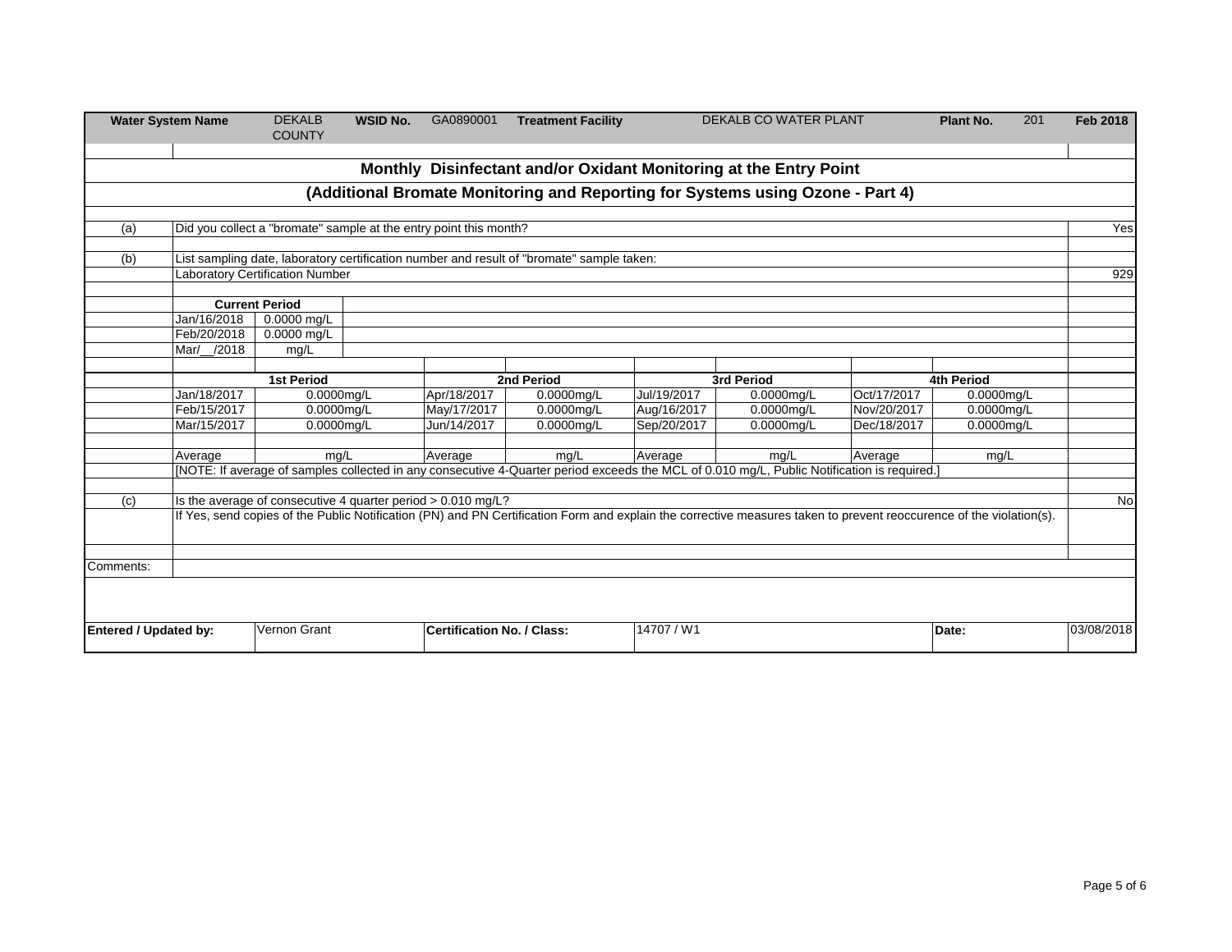| <b>Water System Name</b>                                                       |                                                                   | <b>DEKALB</b><br><b>COUNTY</b>                               | <b>WSID No.</b> | GA0890001                         | <b>Treatment Facility</b>                                                                                                                           | <b>DEKALB CO WATER PLANT</b> |                                                                                                                                                                     |             | 201<br>Plant No. | <b>Feb 2018</b> |  |  |
|--------------------------------------------------------------------------------|-------------------------------------------------------------------|--------------------------------------------------------------|-----------------|-----------------------------------|-----------------------------------------------------------------------------------------------------------------------------------------------------|------------------------------|---------------------------------------------------------------------------------------------------------------------------------------------------------------------|-------------|------------------|-----------------|--|--|
|                                                                                |                                                                   |                                                              |                 |                                   |                                                                                                                                                     |                              | Monthly Disinfectant and/or Oxidant Monitoring at the Entry Point                                                                                                   |             |                  |                 |  |  |
| (Additional Bromate Monitoring and Reporting for Systems using Ozone - Part 4) |                                                                   |                                                              |                 |                                   |                                                                                                                                                     |                              |                                                                                                                                                                     |             |                  |                 |  |  |
|                                                                                |                                                                   |                                                              |                 |                                   |                                                                                                                                                     |                              |                                                                                                                                                                     |             |                  |                 |  |  |
| (a)                                                                            | Did you collect a "bromate" sample at the entry point this month? |                                                              |                 |                                   |                                                                                                                                                     |                              |                                                                                                                                                                     |             |                  |                 |  |  |
|                                                                                |                                                                   |                                                              |                 |                                   |                                                                                                                                                     |                              |                                                                                                                                                                     |             |                  |                 |  |  |
| (b)                                                                            |                                                                   |                                                              |                 |                                   | List sampling date, laboratory certification number and result of "bromate" sample taken:                                                           |                              |                                                                                                                                                                     |             |                  |                 |  |  |
|                                                                                |                                                                   | <b>Laboratory Certification Number</b>                       |                 |                                   |                                                                                                                                                     |                              |                                                                                                                                                                     |             |                  | 929             |  |  |
|                                                                                |                                                                   | <b>Current Period</b>                                        |                 |                                   |                                                                                                                                                     |                              |                                                                                                                                                                     |             |                  |                 |  |  |
|                                                                                | Jan/16/2018                                                       | $0.0000$ mg/L                                                |                 |                                   |                                                                                                                                                     |                              |                                                                                                                                                                     |             |                  |                 |  |  |
|                                                                                | Feb/20/2018                                                       | 0.0000 mg/L                                                  |                 |                                   |                                                                                                                                                     |                              |                                                                                                                                                                     |             |                  |                 |  |  |
|                                                                                | Mar/_/2018                                                        | mg/L                                                         |                 |                                   |                                                                                                                                                     |                              |                                                                                                                                                                     |             |                  |                 |  |  |
|                                                                                |                                                                   |                                                              |                 |                                   |                                                                                                                                                     |                              |                                                                                                                                                                     |             |                  |                 |  |  |
|                                                                                |                                                                   | <b>1st Period</b>                                            |                 |                                   | 2nd Period                                                                                                                                          |                              | 3rd Period                                                                                                                                                          |             | 4th Period       |                 |  |  |
|                                                                                | Jan/18/2017                                                       | $0.0000$ mg/L                                                |                 | Apr/18/2017                       | 0.0000mg/L                                                                                                                                          | Jul/19/2017                  | $0.0000$ mg/L                                                                                                                                                       | Oct/17/2017 | 0.0000mg/L       |                 |  |  |
|                                                                                | Feb/15/2017                                                       | 0.0000mg/L                                                   |                 | May/17/2017                       | 0.0000mg/L                                                                                                                                          | Aug/16/2017                  | 0.0000mg/L                                                                                                                                                          | Nov/20/2017 | 0.0000mg/L       |                 |  |  |
|                                                                                | Mar/15/2017                                                       | 0.0000mg/L                                                   |                 | Jun/14/2017                       | 0.0000mg/L                                                                                                                                          | Sep/20/2017                  | 0.0000mg/L                                                                                                                                                          | Dec/18/2017 | 0.0000mg/L       |                 |  |  |
|                                                                                |                                                                   |                                                              |                 |                                   |                                                                                                                                                     | Average                      | mg/L                                                                                                                                                                |             |                  |                 |  |  |
|                                                                                | Average                                                           | mq/L                                                         |                 | Average                           | mg/L<br>[NOTE: If average of samples collected in any consecutive 4-Quarter period exceeds the MCL of 0.010 mg/L, Public Notification is required.] | Average                      | mg/L                                                                                                                                                                |             |                  |                 |  |  |
|                                                                                |                                                                   |                                                              |                 |                                   |                                                                                                                                                     |                              |                                                                                                                                                                     |             |                  |                 |  |  |
| (c)                                                                            |                                                                   | Is the average of consecutive 4 quarter period > 0.010 mg/L? |                 |                                   |                                                                                                                                                     |                              |                                                                                                                                                                     |             |                  | No              |  |  |
|                                                                                |                                                                   |                                                              |                 |                                   |                                                                                                                                                     |                              | If Yes, send copies of the Public Notification (PN) and PN Certification Form and explain the corrective measures taken to prevent reoccurence of the violation(s). |             |                  |                 |  |  |
|                                                                                |                                                                   |                                                              |                 |                                   |                                                                                                                                                     |                              |                                                                                                                                                                     |             |                  |                 |  |  |
|                                                                                |                                                                   |                                                              |                 |                                   |                                                                                                                                                     |                              |                                                                                                                                                                     |             |                  |                 |  |  |
| Comments:                                                                      |                                                                   |                                                              |                 |                                   |                                                                                                                                                     |                              |                                                                                                                                                                     |             |                  |                 |  |  |
|                                                                                |                                                                   |                                                              |                 |                                   |                                                                                                                                                     |                              |                                                                                                                                                                     |             |                  |                 |  |  |
|                                                                                |                                                                   |                                                              |                 |                                   |                                                                                                                                                     |                              |                                                                                                                                                                     |             |                  |                 |  |  |
| Entered / Updated by:                                                          |                                                                   | Vernon Grant                                                 |                 | <b>Certification No. / Class:</b> |                                                                                                                                                     | 14707 / W1                   |                                                                                                                                                                     | Date:       | 03/08/2018       |                 |  |  |